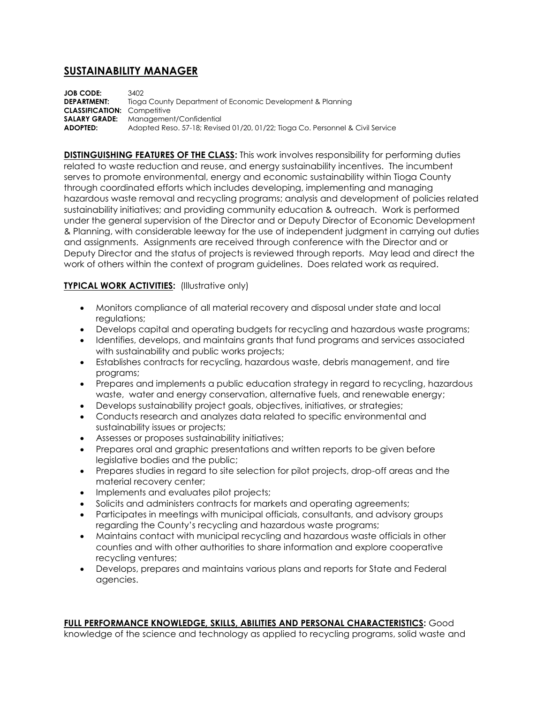## **SUSTAINABILITY MANAGER**

**JOB CODE:** 3402<br>**DEPARTMENT:** Tioac Tioga County Department of Economic Development & Planning **CLASSIFICATION:** Competitive **SALARY GRADE:** Management/Confidential **ADOPTED:** Adopted Reso. 57-18; Revised 01/20, 01/22; Tioga Co. Personnel & Civil Service

**DISTINGUISHING FEATURES OF THE CLASS:** This work involves responsibility for performing duties related to waste reduction and reuse, and energy sustainability incentives. The incumbent serves to promote environmental, energy and economic sustainability within Tioga County through coordinated efforts which includes developing, implementing and managing hazardous waste removal and recycling programs; analysis and development of policies related sustainability initiatives; and providing community education & outreach. Work is performed under the general supervision of the Director and or Deputy Director of Economic Development & Planning, with considerable leeway for the use of independent judgment in carrying out duties and assignments. Assignments are received through conference with the Director and or Deputy Director and the status of projects is reviewed through reports. May lead and direct the work of others within the context of program guidelines. Does related work as required.

## **TYPICAL WORK ACTIVITIES: (Illustrative only)**

- Monitors compliance of all material recovery and disposal under state and local regulations;
- Develops capital and operating budgets for recycling and hazardous waste programs;
- Identifies, develops, and maintains grants that fund programs and services associated with sustainability and public works projects;
- Establishes contracts for recycling, hazardous waste, debris management, and tire programs;
- Prepares and implements a public education strategy in regard to recycling, hazardous waste, water and energy conservation, alternative fuels, and renewable energy;
- Develops sustainability project goals, objectives, initiatives, or strategies;
- Conducts research and analyzes data related to specific environmental and sustainability issues or projects;
- Assesses or proposes sustainability initiatives;
- Prepares oral and graphic presentations and written reports to be given before legislative bodies and the public;
- Prepares studies in regard to site selection for pilot projects, drop-off areas and the material recovery center;
- Implements and evaluates pilot projects;
- Solicits and administers contracts for markets and operating agreements;
- Participates in meetings with municipal officials, consultants, and advisory groups regarding the County's recycling and hazardous waste programs;
- Maintains contact with municipal recycling and hazardous waste officials in other counties and with other authorities to share information and explore cooperative recycling ventures;
- Develops, prepares and maintains various plans and reports for State and Federal agencies.

## **FULL PERFORMANCE KNOWLEDGE, SKILLS, ABILITIES AND PERSONAL CHARACTERISTICS:** Good

knowledge of the science and technology as applied to recycling programs, solid waste and